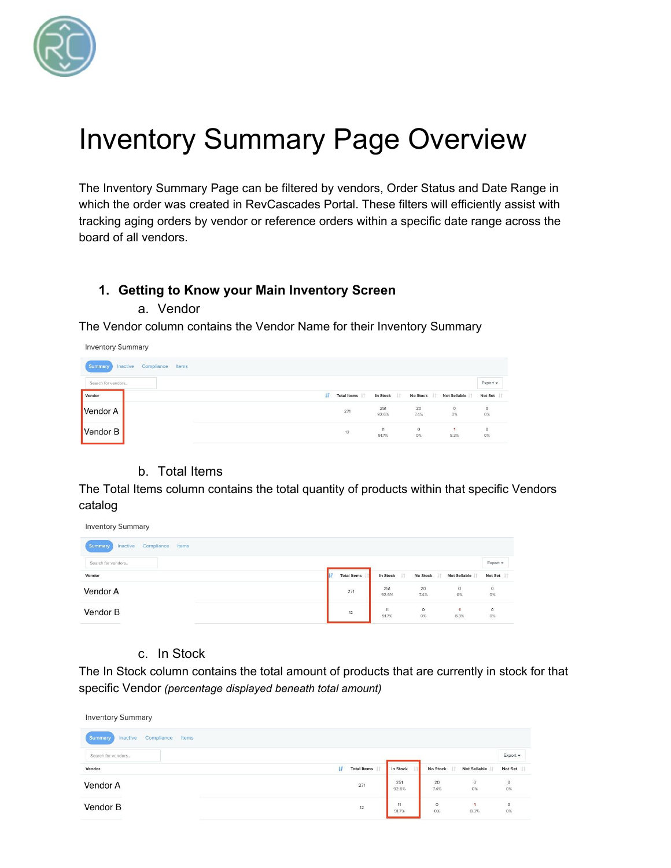

# Inventory Summary Page Overview

The Inventory Summary Page can be filtered by vendors, Order Status and Date Range in which the order was created in RevCascades Portal. These filters will efficiently assist with tracking aging orders by vendor or reference orders within a specific date range across the board of all vendors.

#### **1. Getting to Know your Main Inventory Screen**

#### a. Vendor

The Vendor column contains the Vendor Name for their Inventory Summary

| Inventory Summary                          |                                                                       |
|--------------------------------------------|-----------------------------------------------------------------------|
| Compliance<br>Summary<br>Inactive<br>Items |                                                                       |
| Search for vendors                         | Export +                                                              |
| Vendor                                     | 耳<br>No Stock<br>Not Sellable<br>Total Items<br>In Stock<br>Not Set   |
| Vendor A                                   | $\frac{0}{0\%}$<br>$\circ$<br>251<br>20<br>271<br>0%<br>92.6%<br>7.4% |
| Vendor B                                   | 11<br>$\circ$<br>$\circ$<br>12<br>91.7%<br>0%<br>$0\%$<br>8.3%        |

#### b. Total Items

The Total Items column contains the total quantity of products within that specific Vendors catalog

| <b>Inventory Summary</b>                   |                    |                |               |                 |                 |
|--------------------------------------------|--------------------|----------------|---------------|-----------------|-----------------|
| Summary<br>Compliance<br>Inactive<br>Items |                    |                |               |                 |                 |
| Search for vendors                         |                    |                |               |                 | Export =        |
| Vendor                                     | <b>Total Items</b> | 11<br>In Stock | No Stock      | Not Sellable    | Not Set         |
| Vendor A                                   | 271                | 251<br>92.6%   | 20<br>7.4%    | $\frac{0}{0\%}$ | $\frac{0}{0\%}$ |
| Vendor B<br>_____                          | 12                 | 11<br>91.7%    | $\circ$<br>0% | -1<br>8.3%      | $\circ$<br>0%   |

c. In Stock

The In Stock column contains the total amount of products that are currently in stock for that specific Vendor *(percentage displayed beneath total amount)*

| <b>Inventory Summary</b>                   |                  |              |                 |                                              |                                            |
|--------------------------------------------|------------------|--------------|-----------------|----------------------------------------------|--------------------------------------------|
| Compliance<br>Summary<br>Inactive<br>Items |                  |              |                 |                                              |                                            |
| Search for vendors                         |                  |              |                 |                                              | Export $\star$                             |
| Vendor                                     | Ħ<br>Total Items | In Stock     | <b>No Stock</b> | Not Sellable                                 | Not Set                                    |
| Vendor A                                   | 271              | 251<br>92.6% | 20<br>7.4%      | $\begin{array}{c}\n0 \\ 0 \\ 0\n\end{array}$ | $\begin{array}{c} 0 \\ 0 \\ 0 \end{array}$ |
| Vendor B                                   | 12               | 11<br>91.7%  | $\circ$<br>0%   | -1<br>8.3%                                   | $\circ$<br>0%                              |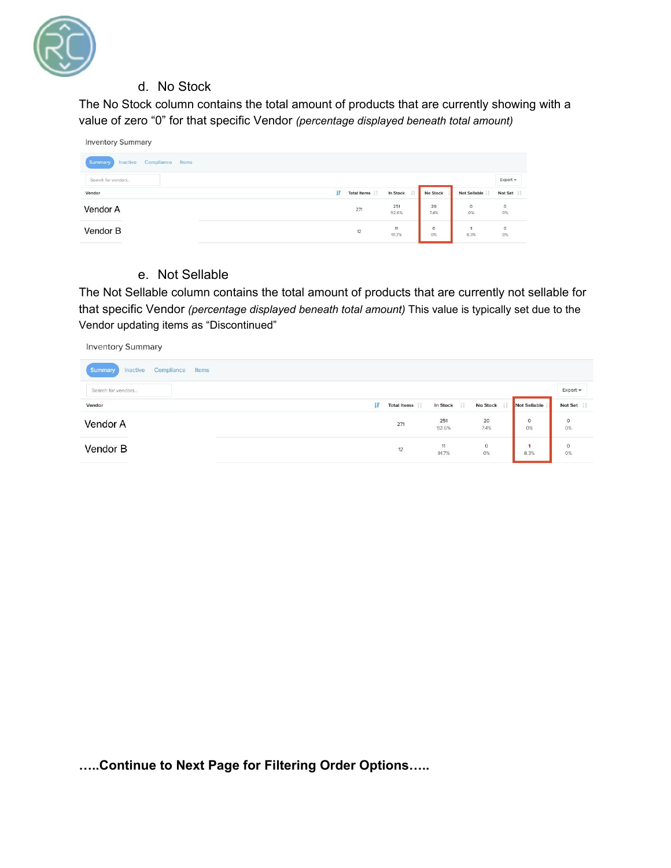

## d. No Stock

The No Stock column contains the total amount of products that are currently showing with a value of zero "0" for that specific Vendor *(percentage displayed beneath total amount)*

| <b>Inventory Summary</b>                   |                   |              |            |                 |                 |
|--------------------------------------------|-------------------|--------------|------------|-----------------|-----------------|
| Compliance<br>Inactive<br>Summary<br>Items |                   |              |            |                 |                 |
| Search for vendors                         |                   |              |            |                 | Export +        |
| Vendor                                     | Ιř<br>Total Items | In Stock     | No Stock   | Not Sellable    | Not Set         |
|                                            |                   |              |            |                 |                 |
| Vendor A                                   | 271               | 251<br>92.6% | 20<br>7.4% | $\frac{0}{0\%}$ | $\frac{0}{0\%}$ |

#### e. Not Sellable

The Not Sellable column contains the total amount of products that are currently not sellable for that specific Vendor *(percentage displayed beneath total amount)* This value is typically set due to the Vendor updating items as "Discontinued"

| <b>Inventory Summary</b>                   |                   |              |                  |               |                |
|--------------------------------------------|-------------------|--------------|------------------|---------------|----------------|
| Compliance<br>Summary<br>Inactive<br>Items |                   |              |                  |               |                |
| Search for vendors                         |                   |              |                  |               | Export $\star$ |
| Vendor                                     | IF<br>Total Items | In Stock     | No Stock         | Not Sellable  | Not Set        |
| Vendor A                                   | 271               | 251<br>92.6% | 20<br>7.4%       | $\circ$<br>0% | $\circ$<br>0%  |
| Vendor B                                   | 12                | 11<br>91.7%  | $\circ$<br>$0\%$ | 1<br>8.3%     | $\circ$<br>0%  |

**…..Continue to Next Page for Filtering Order Options…..**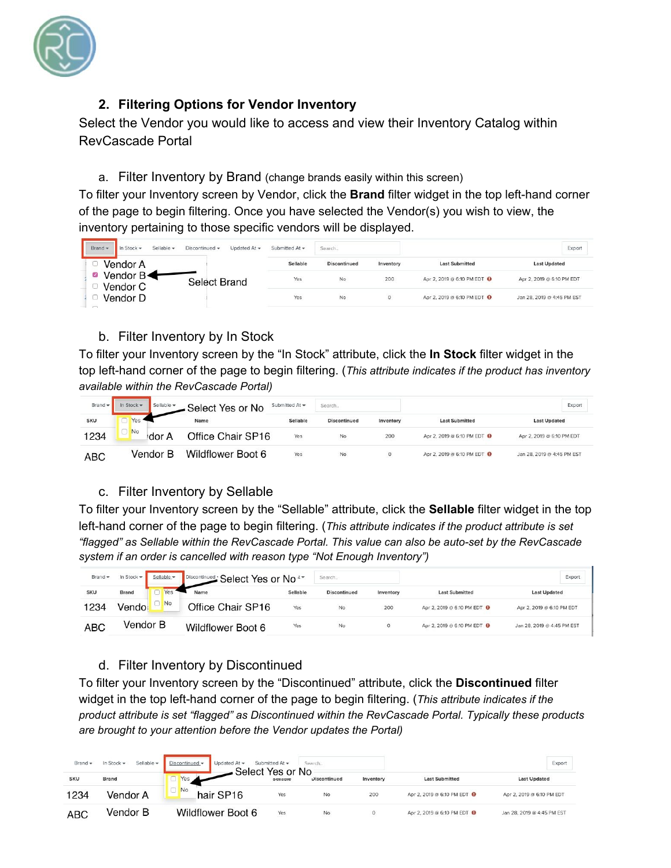

# **2. Filtering Options for Vendor Inventory**

Select the Vendor you would like to access and view their Inventory Catalog within RevCascade Portal

#### a. Filter Inventory by Brand (change brands easily within this screen)

To filter your Inventory screen by Vendor, click the **Brand** filter widget in the top left-hand corner of the page to begin filtering. Once you have selected the Vendor(s) you wish to view, the inventory pertaining to those specific vendors will be displayed.

| Brand -<br>Sellable -<br>Discontinued -<br>In Stock - | Submitted At -<br>Updated At $\blacktriangledown$ | Search              |           |                                        | Export                     |
|-------------------------------------------------------|---------------------------------------------------|---------------------|-----------|----------------------------------------|----------------------------|
| Vendor A                                              | Sellable                                          | <b>Discontinued</b> | Inventory | <b>Last Submitted</b>                  | <b>Last Updated</b>        |
| Vendor B<br>☑<br>Select Brand<br>Vendor C             | Yes                                               | No                  | 200       | Apr 2, 2019 @ 6:10 PM EDT <sup>0</sup> | Apr 2, 2019 @ 6:10 PM EDT  |
| Vendor D<br>$\sim$                                    | Yes                                               | No                  | $\circ$   | Apr 2, 2019 @ 6:10 PM EDT O            | Jan 28, 2019 @ 4:45 PM EST |

## b. Filter Inventory by In Stock

To filter your Inventory screen by the "In Stock" attribute, click the **In Stock** filter widget in the top left-hand corner of the page to begin filtering. (*This attribute indicates if the product has inventory available within the RevCascade Portal)*

| Brand -    | In Stock -<br>Sellable - | Select Yes or No  | Submitted At - | Search              |           |                                        | Export                     |
|------------|--------------------------|-------------------|----------------|---------------------|-----------|----------------------------------------|----------------------------|
| <b>SKU</b> | Yes                      | Name              | Sellable       | <b>Discontinued</b> | Inventory | <b>Last Submitted</b>                  | <b>Last Updated</b>        |
| 1234       | <b>No</b><br>dor A       | Office Chair SP16 | Yes            | No                  | 200       | Apr 2, 2019 @ 6:10 PM EDT <sup>0</sup> | Apr 2, 2019 @ 6:10 PM EDT  |
| ABC        | Vendor B                 | Wildflower Boot 6 | Yes            | No                  | 0         | Apr 2, 2019 @ 6:10 PM EDT <sup>0</sup> | Jan 28, 2019 @ 4:45 PM EST |

## c. Filter Inventory by Sellable

To filter your Inventory screen by the "Sellable" attribute, click the **Sellable** filter widget in the top left-hand corner of the page to begin filtering. (*This attribute indicates if the product attribute is set "flagged" as Sellable within the RevCascade Portal. This value can also be auto-set by the RevCascade system if an order is cancelled with reason type "Not Enough Inventory")*

| Brand -    | In Stock $\bullet$<br>Sellable - | Discontinued Select Yes or No <sup>t-</sup> |          | Search.             |           |                                        | Export                     |
|------------|----------------------------------|---------------------------------------------|----------|---------------------|-----------|----------------------------------------|----------------------------|
| <b>SKU</b> | <b>Brand</b><br>Yes              | Name                                        | Sellable | <b>Discontinued</b> | Inventory | <b>Last Submitted</b>                  | <b>Last Updated</b>        |
| 1234       | No<br>Vendo                      | Office Chair SP16                           | Yes      | No                  | 200       | Apr 2, 2019 @ 6:10 PM EDT @            | Apr 2, 2019 @ 6:10 PM EDT  |
| ABC        | Vendor B                         | Wildflower Boot 6                           | Yes      | No                  | 0         | Apr 2, 2019 @ 6:10 PM EDT <sup>O</sup> | Jan 28, 2019 @ 4:45 PM EST |

# d. Filter Inventory by Discontinued

To filter your Inventory screen by the "Discontinued" attribute, click the **Discontinued** filter widget in the top left-hand corner of the page to begin filtering. (*This attribute indicates if the product attribute is set "flagged" as Discontinued within the RevCascade Portal. Typically these products are brought to your attention before the Vendor updates the Portal)*

| Brand -    | Sellable -<br>In Stock $\star$ | Discontinued -<br>Updated At $\blacktriangledown$<br>Select Yes or No | Submitted At $\star$ | Search.             |           |                                        | Export                     |
|------------|--------------------------------|-----------------------------------------------------------------------|----------------------|---------------------|-----------|----------------------------------------|----------------------------|
| <b>SKU</b> | <b>Brand</b>                   | Yes                                                                   | зенари               | <b>Discontinued</b> | Inventory | <b>Last Submitted</b>                  | <b>Last Updated</b>        |
| 1234       | Vendor A                       | No<br>hair SP16                                                       | Yes                  | No                  | 200       | Apr 2, 2019 @ 6:10 PM EDT <sup>0</sup> | Apr 2, 2019 @ 6:10 PM EDT  |
| <b>ABC</b> | Vendor B                       | Wildflower Boot 6                                                     | Yes                  | No                  | 0         | Apr 2, 2019 @ 6:10 PM EDT @            | Jan 28, 2019 @ 4:45 PM EST |